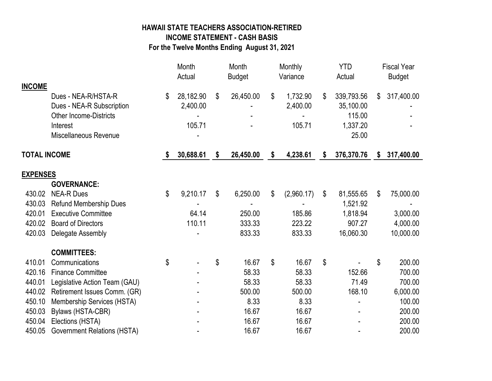## **HAWAII STATE TEACHERS ASSOCIATION-RETIRED INCOME STATEMENT - CASH BASIS For the Twelve Months Ending August 31, 2021**

Month Month Monthly YTD Fiscal Year Actual Budget Variance Actual Budget **INCOME** Dues - NEA-R/HSTA-R \$ 28,182.90 \$ 26,450.00 \$ 1,732.90 \$ 339,793.56 \$ 317,400.00 Dues - NEA-R Subscription 2,400.00 - 2,400.00 35,100.00 - Other Income-Districts **Contract Contract Contract Contract Contract Contract Contract Contract Contract Contract Contract Contract Contract Contract Contract Contract Contract Contract Contract Contract Contract Contract** Interest 105.71 - 105.71 1,337.20 Miscellaneous Revenue 25.00 **TOTAL INCOME \$ 30,688.61 \$ 26,450.00 \$ 4,238.61 \$ 376,370.76 \$ 317,400.00 EXPENSES GOVERNANCE:** 430.02 NEA-R Dues \$ 9,210.17 \$ 6,250.00 \$ (2,960.17) \$ 81,555.65 \$ 75,000.00 430.03 Refund Membership Dues - - - 1,521.92 - 420.01 Executive Committee 64.14 250.00 185.86 1,818.94 3,000.00 420.02 Board of Directors 110.11 333.33 223.22 907.27 4,000.00 420.03 Delegate Assembly 10,000.00 - 833.33 833.33 16,060.30 10,000.00  **COMMITTEES:** 410.01 Communications \$ 5 16.67 \$ 16.67 \$ 5 200.00 420.16 Finance Committee - 58.33 58.33 58.33 58.33 58.33 58.33 58.33 58.33 58.33 58.58 700.00 440.01 Legislative Action Team (GAU)  $-$  58.33 58.33 71.49 700.00 440.02 Retirement Issues Comm. (GR) - 500.00 500.00 168.10 6,000.00 450.10 Membership Services (HSTA) - 8.33 8.33 - 100.00 450.03 Bylaws (HSTA-CBR) - 16.67 16.67 - 200.00 450.04 Elections (HSTA) 16.67 16.67 16.67 16.67 16.67 200.00 450.05 Government Relations (HSTA) - 16.67 16.67 - 200.00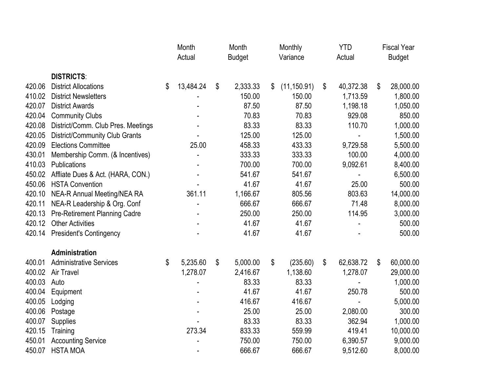|        |                                      | Month<br>Actual |           | Month<br><b>Budget</b> |          | Monthly<br>Variance |              | <b>YTD</b><br>Actual |           | <b>Fiscal Year</b><br><b>Budget</b> |           |
|--------|--------------------------------------|-----------------|-----------|------------------------|----------|---------------------|--------------|----------------------|-----------|-------------------------------------|-----------|
|        |                                      |                 |           |                        |          |                     |              |                      |           |                                     |           |
|        | <b>DISTRICTS:</b>                    |                 |           |                        |          |                     |              |                      |           |                                     |           |
| 420.06 | <b>District Allocations</b>          | \$              | 13,484.24 | \$                     | 2,333.33 | \$                  | (11, 150.91) | \$                   | 40,372.38 | \$                                  | 28,000.00 |
| 410.02 | <b>District Newsletters</b>          |                 |           |                        | 150.00   |                     | 150.00       |                      | 1,713.59  |                                     | 1,800.00  |
| 420.07 | <b>District Awards</b>               |                 |           |                        | 87.50    |                     | 87.50        |                      | 1,198.18  |                                     | 1,050.00  |
| 420.04 | <b>Community Clubs</b>               |                 |           |                        | 70.83    |                     | 70.83        |                      | 929.08    |                                     | 850.00    |
| 420.08 | District/Comm. Club Pres. Meetings   |                 |           |                        | 83.33    |                     | 83.33        |                      | 110.70    |                                     | 1,000.00  |
| 420.05 | District/Community Club Grants       |                 |           |                        | 125.00   |                     | 125.00       |                      |           |                                     | 1,500.00  |
| 420.09 | <b>Elections Committee</b>           |                 | 25.00     |                        | 458.33   |                     | 433.33       |                      | 9,729.58  |                                     | 5,500.00  |
| 430.01 | Membership Comm. (& Incentives)      |                 |           |                        | 333.33   |                     | 333.33       |                      | 100.00    |                                     | 4,000.00  |
| 410.03 | Publications                         |                 |           |                        | 700.00   |                     | 700.00       |                      | 9,092.61  |                                     | 8,400.00  |
| 450.02 | Affliate Dues & Act. (HARA, CON.)    |                 |           |                        | 541.67   |                     | 541.67       |                      |           |                                     | 6,500.00  |
| 450.06 | <b>HSTA Convention</b>               |                 |           |                        | 41.67    |                     | 41.67        |                      | 25.00     |                                     | 500.00    |
| 420.10 | <b>NEA-R Annual Meeting/NEA RA</b>   |                 | 361.11    |                        | 1,166.67 |                     | 805.56       |                      | 803.63    |                                     | 14,000.00 |
| 420.11 | NEA-R Leadership & Org. Conf         |                 |           |                        | 666.67   |                     | 666.67       |                      | 71.48     |                                     | 8,000.00  |
| 420.13 | <b>Pre-Retirement Planning Cadre</b> |                 |           |                        | 250.00   |                     | 250.00       |                      | 114.95    |                                     | 3,000.00  |
| 420.12 | <b>Other Activities</b>              |                 |           |                        | 41.67    |                     | 41.67        |                      |           |                                     | 500.00    |
| 420.14 | <b>President's Contingency</b>       |                 |           |                        | 41.67    |                     | 41.67        |                      |           |                                     | 500.00    |
|        | Administration                       |                 |           |                        |          |                     |              |                      |           |                                     |           |
| 400.01 | <b>Administrative Services</b>       | \$              | 5,235.60  | \$                     | 5,000.00 | \$                  | (235.60)     | \$                   | 62,638.72 | \$                                  | 60,000.00 |
| 400.02 | Air Travel                           |                 | 1,278.07  |                        | 2,416.67 |                     | 1,138.60     |                      | 1,278.07  |                                     | 29,000.00 |
| 400.03 | Auto                                 |                 |           |                        | 83.33    |                     | 83.33        |                      |           |                                     | 1,000.00  |
| 400.04 | Equipment                            |                 |           |                        | 41.67    |                     | 41.67        |                      | 250.78    |                                     | 500.00    |
| 400.05 | Lodging                              |                 |           |                        | 416.67   |                     | 416.67       |                      |           |                                     | 5,000.00  |
| 400.06 | Postage                              |                 |           |                        | 25.00    |                     | 25.00        |                      | 2,080.00  |                                     | 300.00    |
| 400.07 | Supplies                             |                 |           |                        | 83.33    |                     | 83.33        |                      | 362.94    |                                     | 1,000.00  |
| 420.15 | Training                             |                 | 273.34    |                        | 833.33   |                     | 559.99       |                      | 419.41    |                                     | 10,000.00 |
| 450.01 | <b>Accounting Service</b>            |                 |           |                        | 750.00   |                     | 750.00       |                      | 6,390.57  |                                     | 9,000.00  |
| 450.07 | <b>HSTA MOA</b>                      |                 |           |                        | 666.67   |                     | 666.67       |                      | 9,512.60  |                                     | 8,000.00  |